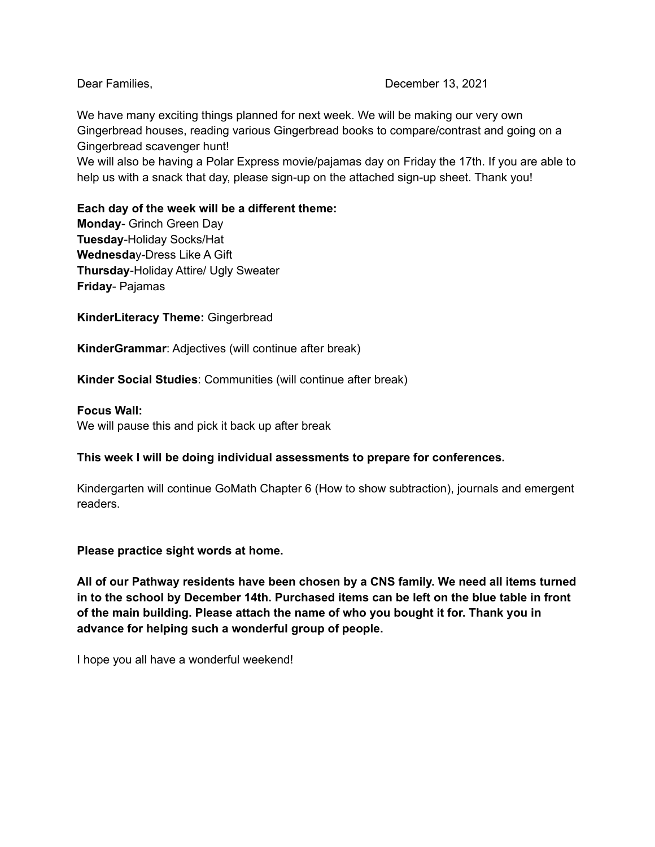### Dear Families, December 13, 2021

We have many exciting things planned for next week. We will be making our very own Gingerbread houses, reading various Gingerbread books to compare/contrast and going on a Gingerbread scavenger hunt!

We will also be having a Polar Express movie/pajamas day on Friday the 17th. If you are able to help us with a snack that day, please sign-up on the attached sign-up sheet. Thank you!

**Each day of the week will be a different theme: Monday**- Grinch Green Day **Tuesday**-Holiday Socks/Hat **Wednesda**y-Dress Like A Gift **Thursday**-Holiday Attire/ Ugly Sweater

**Friday**- Pajamas

**KinderLiteracy Theme:** Gingerbread

**KinderGrammar**: Adjectives (will continue after break)

**Kinder Social Studies**: Communities (will continue after break)

### **Focus Wall:**

We will pause this and pick it back up after break

## **This week I will be doing individual assessments to prepare for conferences.**

Kindergarten will continue GoMath Chapter 6 (How to show subtraction), journals and emergent readers.

**Please practice sight words at home.**

**All of our Pathway residents have been chosen by a CNS family. We need all items turned in to the school by December 14th. Purchased items can be left on the blue table in front of the main building. Please attach the name of who you bought it for. Thank you in advance for helping such a wonderful group of people.**

I hope you all have a wonderful weekend!